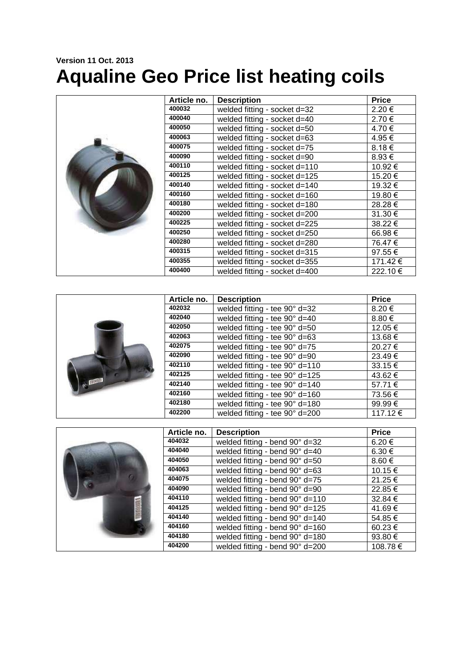## **Version 11 Oct. 2013 Aqualine Geo Price list heating coils**

|  | Article no. | <b>Description</b>            | <b>Price</b> |
|--|-------------|-------------------------------|--------------|
|  | 400032      | welded fitting - socket d=32  | 2.20 €       |
|  | 400040      | welded fitting - socket d=40  | 2.70€        |
|  | 400050      | welded fitting - socket d=50  | 4.70 €       |
|  | 400063      | welded fitting - socket d=63  | 4.95 €       |
|  | 400075      | welded fitting - socket d=75  | 8.18€        |
|  | 400090      | welded fitting - socket d=90  | 8.93 €       |
|  | 400110      | welded fitting - socket d=110 | 10.92 €      |
|  | 400125      | welded fitting - socket d=125 | 15.20 €      |
|  | 400140      | welded fitting - socket d=140 | 19.32 €      |
|  | 400160      | welded fitting - socket d=160 | 19.80 €      |
|  | 400180      | welded fitting - socket d=180 | 28.28€       |
|  | 400200      | welded fitting - socket d=200 | 31.30 €      |
|  | 400225      | welded fitting - socket d=225 | 38.22 €      |
|  | 400250      | welded fitting - socket d=250 | 66.98€       |
|  | 400280      | welded fitting - socket d=280 | 76.47 €      |
|  | 400315      | welded fitting - socket d=315 | 97.55€       |
|  | 400355      | welded fitting - socket d=355 | 171.42€      |
|  | 400400      | welded fitting - socket d=400 | 222.10€      |

|                   | Article no. | <b>Description</b>             | <b>Price</b> |
|-------------------|-------------|--------------------------------|--------------|
|                   | 402032      | welded fitting - tee 90° d=32  | 8.20 €       |
|                   | 402040      | welded fitting - tee 90° d=40  | $8.80 \in$   |
|                   | 402050      | welded fitting - tee 90° d=50  | 12.05 €      |
|                   | 402063      | welded fitting - tee 90° d=63  | 13.68 €      |
|                   | 402075      | welded fitting - tee 90° d=75  | 20.27 €      |
| <b>CONTRACTOR</b> | 402090      | welded fitting - tee 90° d=90  | $23.49 \in$  |
|                   | 402110      | welded fitting - tee 90° d=110 | $33.15 \in$  |
|                   | 402125      | welded fitting - tee 90° d=125 | 43.62 €      |
|                   | 402140      | welded fitting - tee 90° d=140 | 57.71€       |
|                   | 402160      | welded fitting - tee 90° d=160 | 73.56 €      |
|                   | 402180      | welded fitting - tee 90° d=180 | 99.99€       |
|                   | 402200      | welded fitting - tee 90° d=200 | 117.12€      |

|  | Article no. | <b>Description</b>              | <b>Price</b>     |
|--|-------------|---------------------------------|------------------|
|  | 404032      | welded fitting - bend 90° d=32  | $6.20 \in$       |
|  | 404040      | welded fitting - bend 90° d=40  | $6.30 \in$       |
|  | 404050      | welded fitting - bend 90° d=50  | 8.60 $\epsilon$  |
|  | 404063      | welded fitting - bend 90° d=63  | 10.15 €          |
|  | 404075      | welded fitting - bend 90° d=75  | 21.25 €          |
|  | 404090      | welded fitting - bend 90° d=90  | 22.85 €          |
|  | 404110      | welded fitting - bend 90° d=110 | 32.84 €          |
|  | 404125      | welded fitting - bend 90° d=125 | 41.69€           |
|  | 404140      | welded fitting - bend 90° d=140 | 54.85€           |
|  | 404160      | welded fitting - bend 90° d=160 | 60.23 €          |
|  | 404180      | welded fitting - bend 90° d=180 | 93.80 $\epsilon$ |
|  | 404200      | welded fitting - bend 90° d=200 | 108.78 €         |